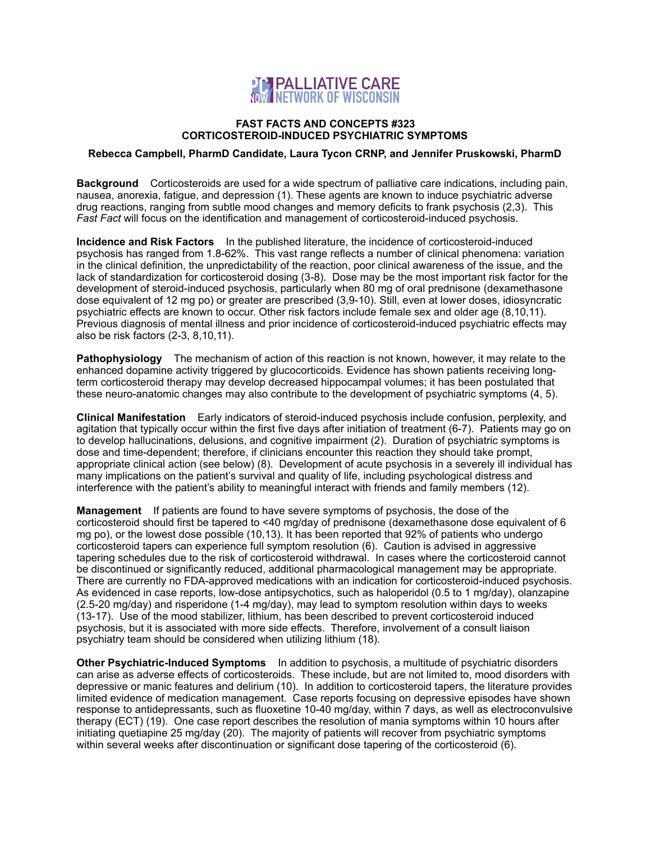

## **FAST FACTS AND CONCEPTS #323 CORTICOSTEROID-INDUCED PSYCHIATRIC SYMPTOMS**

## **Rebecca Campbell, PharmD Candidate, Laura Tycon CRNP, and Jennifer Pruskowski, PharmD**

**Background** Corticosteroids are used for a wide spectrum of palliative care indications, including pain, nausea, anorexia, fatigue, and depression (1). These agents are known to induce psychiatric adverse drug reactions, ranging from subtle mood changes and memory deficits to frank psychosis (2,3). This *Fast Fact* will focus on the identification and management of corticosteroid-induced psychosis.

**Incidence and Risk Factors** In the published literature, the incidence of corticosteroid-induced psychosis has ranged from 1.8-62%. This vast range reflects a number of clinical phenomena: variation in the clinical definition, the unpredictability of the reaction, poor clinical awareness of the issue, and the lack of standardization for corticosteroid dosing (3-8). Dose may be the most important risk factor for the development of steroid-induced psychosis, particularly when 80 mg of oral prednisone (dexamethasone dose equivalent of 12 mg po) or greater are prescribed (3,9-10). Still, even at lower doses, idiosyncratic psychiatric effects are known to occur. Other risk factors include female sex and older age (8,10,11). Previous diagnosis of mental illness and prior incidence of corticosteroid-induced psychiatric effects may also be risk factors (2-3, 8,10,11).

**Pathophysiology** The mechanism of action of this reaction is not known, however, it may relate to the enhanced dopamine activity triggered by glucocorticoids. Evidence has shown patients receiving longterm corticosteroid therapy may develop decreased hippocampal volumes; it has been postulated that these neuro-anatomic changes may also contribute to the development of psychiatric symptoms (4, 5).

**Clinical Manifestation** Early indicators of steroid-induced psychosis include confusion, perplexity, and agitation that typically occur within the first five days after initiation of treatment (6-7). Patients may go on to develop hallucinations, delusions, and cognitive impairment (2). Duration of psychiatric symptoms is dose and time-dependent; therefore, if clinicians encounter this reaction they should take prompt, appropriate clinical action (see below) (8). Development of acute psychosis in a severely ill individual has many implications on the patient's survival and quality of life, including psychological distress and interference with the patient's ability to meaningful interact with friends and family members (12).

**Management** If patients are found to have severe symptoms of psychosis, the dose of the corticosteroid should first be tapered to <40 mg/day of prednisone (dexamethasone dose equivalent of 6 mg po), or the lowest dose possible (10,13). It has been reported that 92% of patients who undergo corticosteroid tapers can experience full symptom resolution (6). Caution is advised in aggressive tapering schedules due to the risk of corticosteroid withdrawal. In cases where the corticosteroid cannot be discontinued or significantly reduced, additional pharmacological management may be appropriate. There are currently no FDA-approved medications with an indication for corticosteroid-induced psychosis. As evidenced in case reports, low-dose antipsychotics, such as haloperidol (0.5 to 1 mg/day), olanzapine (2.5-20 mg/day) and risperidone (1-4 mg/day), may lead to symptom resolution within days to weeks (13-17). Use of the mood stabilizer, lithium, has been described to prevent corticosteroid induced psychosis, but it is associated with more side effects. Therefore, involvement of a consult liaison psychiatry team should be considered when utilizing lithium (18).

**Other Psychiatric-Induced Symptoms** In addition to psychosis, a multitude of psychiatric disorders can arise as adverse effects of corticosteroids. These include, but are not limited to, mood disorders with depressive or manic features and delirium (10). In addition to corticosteroid tapers, the literature provides limited evidence of medication management. Case reports focusing on depressive episodes have shown response to antidepressants, such as fluoxetine 10-40 mg/day, within 7 days, as well as electroconvulsive therapy (ECT) (19). One case report describes the resolution of mania symptoms within 10 hours after initiating quetiapine 25 mg/day (20). The majority of patients will recover from psychiatric symptoms within several weeks after discontinuation or significant dose tapering of the corticosteroid (6).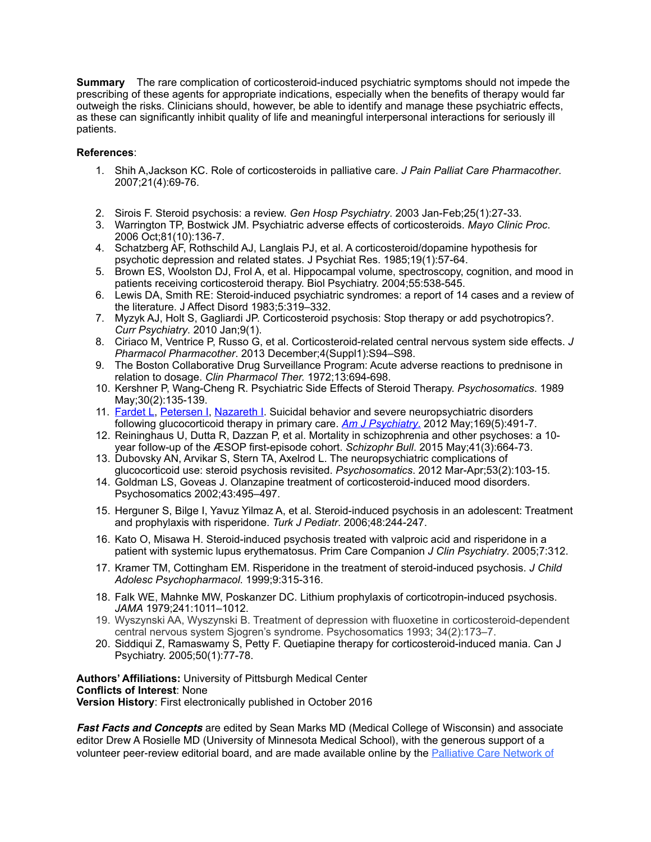**Summary** The rare complication of corticosteroid-induced psychiatric symptoms should not impede the prescribing of these agents for appropriate indications, especially when the benefits of therapy would far outweigh the risks. Clinicians should, however, be able to identify and manage these psychiatric effects, as these can significantly inhibit quality of life and meaningful interpersonal interactions for seriously ill patients.

## **References**:

- 1. [Shih A,](http://www.ncbi.nlm.nih.gov/pubmed/?term=Shih%2520A%255BAuthor%255D&cauthor=true&cauthor_uid=18032321)Jackson KC. Role of corticosteroids in palliative care. *J Pain Palliat Care Pharmacother*. 2007;21(4):69-76.
- 2. Sirois F. Steroid psychosis: a review. *Gen Hosp Psychiatry*. 2003 Jan-Feb;25(1):27-33.
- 3. Warrington TP, Bostwick JM. Psychiatric adverse effects of corticosteroids. *Mayo Clinic Proc*. 2006 Oct;81(10):136-7.
- 4. Schatzberg AF, Rothschild AJ, Langlais PJ, et al. A corticosteroid/dopamine hypothesis for psychotic depression and related states. J Psychiat Res. 1985;19(1):57-64.
- 5. Brown ES, Woolston DJ, Frol A, et al. Hippocampal volume, spectroscopy, cognition, and mood in patients receiving corticosteroid therapy. Biol Psychiatry. 2004;55:538-545.
- 6. Lewis DA, Smith RE: Steroid-induced psychiatric syndromes: a report of 14 cases and a review of the literature. J Affect Disord 1983;5:319–332.
- 7. Myzyk AJ, Holt S, Gagliardi JP. Corticosteroid psychosis: Stop therapy or add psychotropics?. *Curr Psychiatry*. 2010 Jan;9(1).
- 8. Ciriaco M, Ventrice P, Russo G, et al. Corticosteroid-related central nervous system side effects. *J Pharmacol Pharmacother*. 2013 December;4(Suppl1):S94–S98.
- 9. The Boston Collaborative Drug Surveillance Program: Acute adverse reactions to prednisone in relation to dosage. *Clin Pharmacol Ther.* 1972;13:694-698.
- 10. Kershner P, Wang-Cheng R. Psychiatric Side Effects of Steroid Therapy. *Psychosomatics*. 1989 May;30(2):135-139.
- 11. [Fardet L](http://www-ncbi-nlm-nih-gov.pitt.idm.oclc.org/pubmed/?term=Fardet%2520L%255BAuthor%255D&cauthor=true&cauthor_uid=22764363), [Petersen I](http://www-ncbi-nlm-nih-gov.pitt.idm.oclc.org/pubmed/?term=Petersen%2520I%255BAuthor%255D&cauthor=true&cauthor_uid=22764363), [Nazareth I](http://www-ncbi-nlm-nih-gov.pitt.idm.oclc.org/pubmed/?term=Nazareth%2520I%255BAuthor%255D&cauthor=true&cauthor_uid=22764363), Suicidal behavior and severe neuropsychiatric disorders following glucocorticoid therapy in primary care. *[Am J Psychiatry](http://www-ncbi-nlm-nih-gov.pitt.idm.oclc.org/pubmed?term=22764363)*. 2012 May;169(5):491-7.
- 12. Reininghaus U, Dutta R, Dazzan P, et al. Mortality in schizophrenia and other psychoses: a 10 year follow-up of the ӔSOP first-episode cohort. *Schizophr Bull*. 2015 May;41(3):664-73.
- 13. Dubovsky AN, Arvikar S, Stern TA, Axelrod L. The neuropsychiatric complications of glucocorticoid use: steroid psychosis revisited. *Psychosomatics*. 2012 Mar-Apr;53(2):103-15.
- 14. Goldman LS, Goveas J. Olanzapine treatment of corticosteroid-induced mood disorders. Psychosomatics 2002;43:495–497.
- 15. Herguner S, Bilge I, Yavuz Yilmaz A, et al. Steroid-induced psychosis in an adolescent: Treatment and prophylaxis with risperidone. *Turk J Pediatr*. 2006;48:244-247.
- 16. Kato O, Misawa H. Steroid-induced psychosis treated with valproic acid and risperidone in a patient with systemic lupus erythematosus. Prim Care Companion *J Clin Psychiatry*. 2005;7:312.
- 17. Kramer TM, Cottingham EM. Risperidone in the treatment of steroid-induced psychosis. *J Child Adolesc Psychopharmacol*. 1999;9:315-316.
- 18. Falk WE, Mahnke MW, Poskanzer DC. Lithium prophylaxis of corticotropin-induced psychosis. *JAMA* 1979;241:1011–1012.
- 19. Wyszynski AA, Wyszynski B. Treatment of depression with fluoxetine in corticosteroid-dependent central nervous system Sjogren's syndrome. Psychosomatics 1993; 34(2):173–7.
- 20. Siddiqui Z, Ramaswamy S, Petty F. Quetiapine therapy for corticosteroid-induced mania. Can J Psychiatry. 2005;50(1):77-78.

**Authors' Affiliations:** University of Pittsburgh Medical Center **Conflicts of Interest**: None **Version History**: First electronically published in October 2016

*Fast Facts and Concepts* are edited by Sean Marks MD (Medical College of Wisconsin) and associate editor Drew A Rosielle MD (University of Minnesota Medical School), with the generous support of a volunteer peer-review editorial board, and are made available online by the [Palliative Care Network of](http://www.mypcnow.org/)